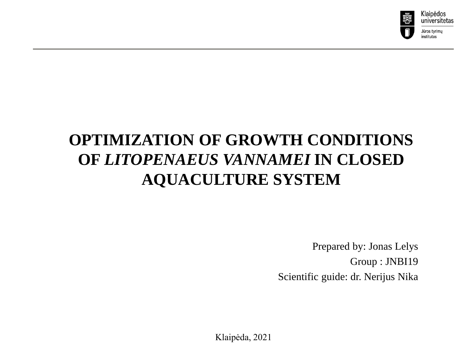

#### **OPTIMIZATION OF GROWTH CONDITIONS OF** *LITOPENAEUS VANNAMEI* **IN CLOSED AQUACULTURE SYSTEM**

Prepared by: Jonas Lelys Group : JNBI19 Scientific guide: dr. Nerijus Nika

Klaipėda, 2021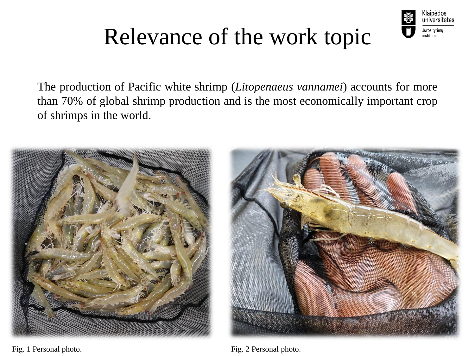

# Relevance of the work topic

The production of Pacific white shrimp (*Litopenaeus vannamei*) accounts for more than 70% of global shrimp production and is the most economically important crop of shrimps in the world.





Fig. 1 Personal photo. Fig. 2 Personal photo.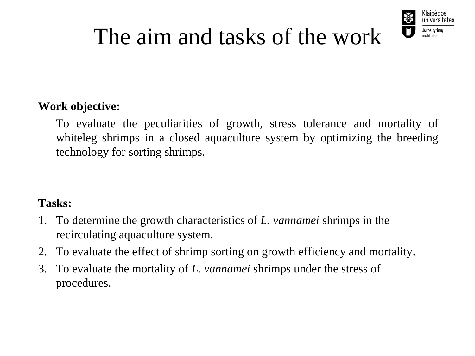

# The aim and tasks of the work

#### **Work objective:**

To evaluate the peculiarities of growth, stress tolerance and mortality of whiteleg shrimps in a closed aquaculture system by optimizing the breeding technology for sorting shrimps.

#### **Tasks:**

- 1. To determine the growth characteristics of *L. vannamei* shrimps in the recirculating aquaculture system.
- 2. To evaluate the effect of shrimp sorting on growth efficiency and mortality.
- 3. To evaluate the mortality of *L. vannamei* shrimps under the stress of procedures.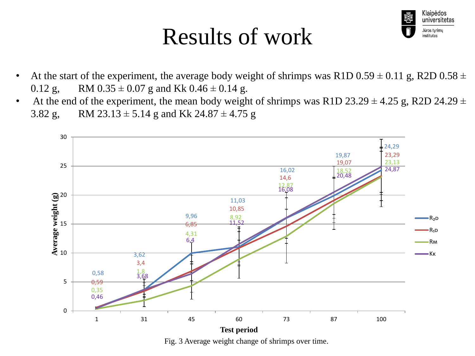Klaipėdos universitetas Jūros tyrimų institutas



• At the end of the experiment, the mean body weight of shrimps was R1D 23.29  $\pm$  4.25 g, R2D 24.29  $\pm$ 3.82 g, RM  $23.13 \pm 5.14$  g and Kk  $24.87 \pm 4.75$  g



Fig. 3 Average weight change of shrimps over time.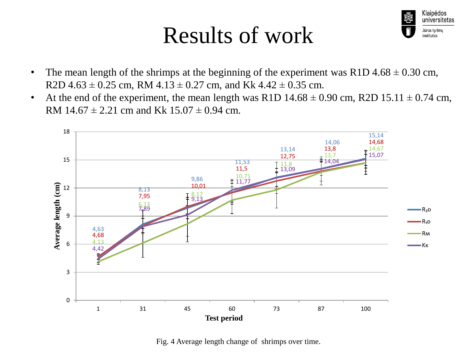

- The mean length of the shrimps at the beginning of the experiment was R1D  $4.68 \pm 0.30$  cm, R2D  $4.63 \pm 0.25$  cm, RM  $4.13 \pm 0.27$  cm, and Kk  $4.42 \pm 0.35$  cm.
- At the end of the experiment, the mean length was R1D  $14.68 \pm 0.90$  cm, R2D  $15.11 \pm 0.74$  cm, RM  $14.67 \pm 2.21$  cm and Kk  $15.07 \pm 0.94$  cm.



Fig. 4 Average length change of shrimps over time.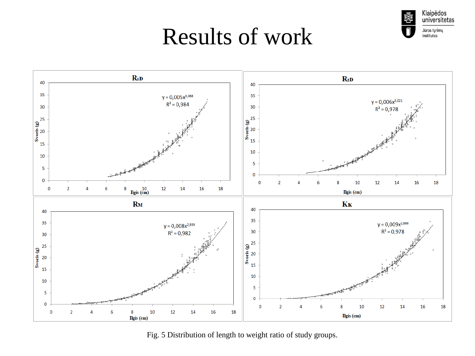

Fig. 5 Distribution of length to weight ratio of study groups.

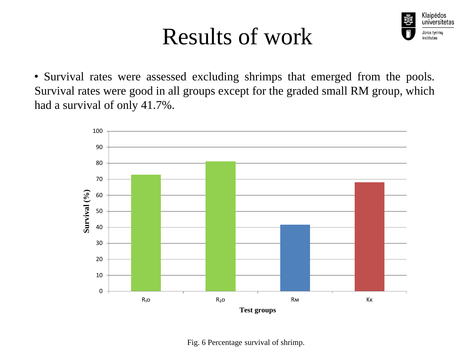Klaipėdos universitetas Jūros tyrimų institutas





Fig. 6 Percentage survival of shrimp.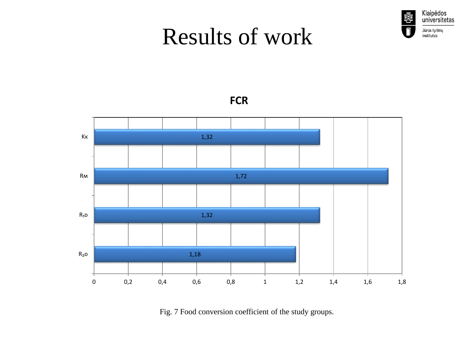

**FCR**



Fig. 7 Food conversion coefficient of the study groups.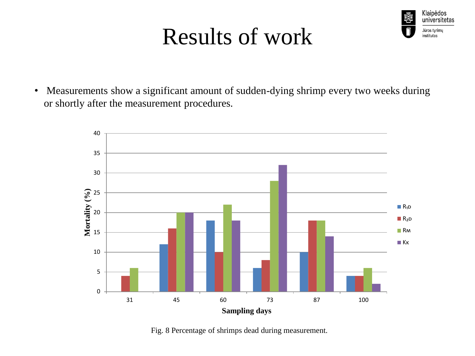Klaipėdos universitetas Jūros tyrimų institutas





Fig. 8 Percentage of shrimps dead during measurement.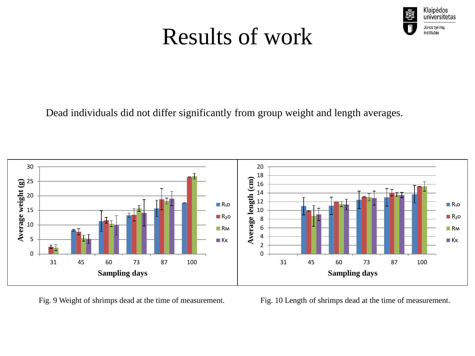Dead individuals did not differ significantly from group weight and length averages.



Fig. 9 Weight of shrimps dead at the time of measurement. Fig. 10 Length of shrimps dead at the time of measurement.

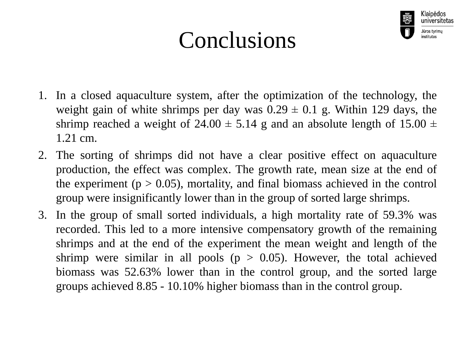# Conclusions



- 1. In a closed aquaculture system, after the optimization of the technology, the weight gain of white shrimps per day was  $0.29 \pm 0.1$  g. Within 129 days, the shrimp reached a weight of  $24.00 \pm 5.14$  g and an absolute length of  $15.00 \pm 1.00$ 1.21 cm.
- 2. The sorting of shrimps did not have a clear positive effect on aquaculture production, the effect was complex. The growth rate, mean size at the end of the experiment ( $p > 0.05$ ), mortality, and final biomass achieved in the control group were insignificantly lower than in the group of sorted large shrimps.
- 3. In the group of small sorted individuals, a high mortality rate of 59.3% was recorded. This led to a more intensive compensatory growth of the remaining shrimps and at the end of the experiment the mean weight and length of the shrimp were similar in all pools ( $p > 0.05$ ). However, the total achieved biomass was 52.63% lower than in the control group, and the sorted large groups achieved 8.85 - 10.10% higher biomass than in the control group.